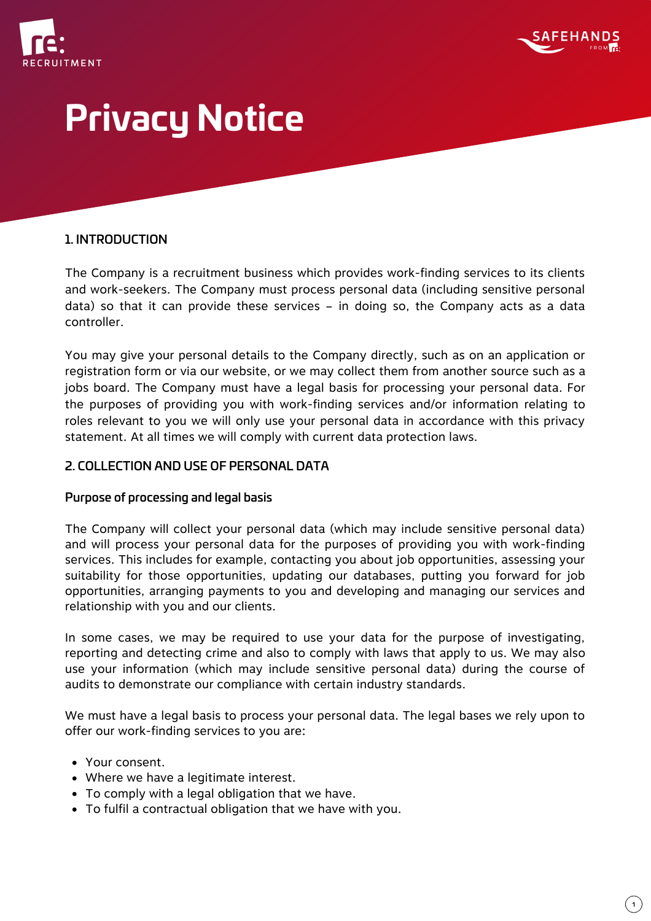



### 1. INTRODUCTION

The Company is a recruitment business which provides work-finding services to its clients and work-seekers. The Company must process personal data (including sensitive personal data) so that it can provide these services – in doing so, the Company acts as a data controller.

You may give your personal details to the Company directly, such as on an application or registration form or via our website, or we may collect them from another source such as a jobs board. The Company must have a legal basis for processing your personal data. For the purposes of providing you with work-finding services and/or information relating to roles relevant to you we will only use your personal data in accordance with this privacy statement. At all times we will comply with current data protection laws.

### 2. COLLECTION AND USE OF PERSONAL DATA

### Purpose of processing and legal basis

The Company will collect your personal data (which may include sensitive personal data) and will process your personal data for the purposes of providing you with work-finding services. This includes for example, contacting you about job opportunities, assessing your suitability for those opportunities, updating our databases, putting you forward for job opportunities, arranging payments to you and developing and managing our services and relationship with you and our clients.

In some cases, we may be required to use your data for the purpose of investigating, reporting and detecting crime and also to comply with laws that apply to us. We may also use your information (which may include sensitive personal data) during the course of audits to demonstrate our compliance with certain industry standards.

We must have a legal basis to process your personal data. The legal bases we rely upon to offer our work-finding services to you are:

- Your consent.
- Where we have a legitimate interest.
- To comply with a legal obligation that we have.
- To fulfil a contractual obligation that we have with you.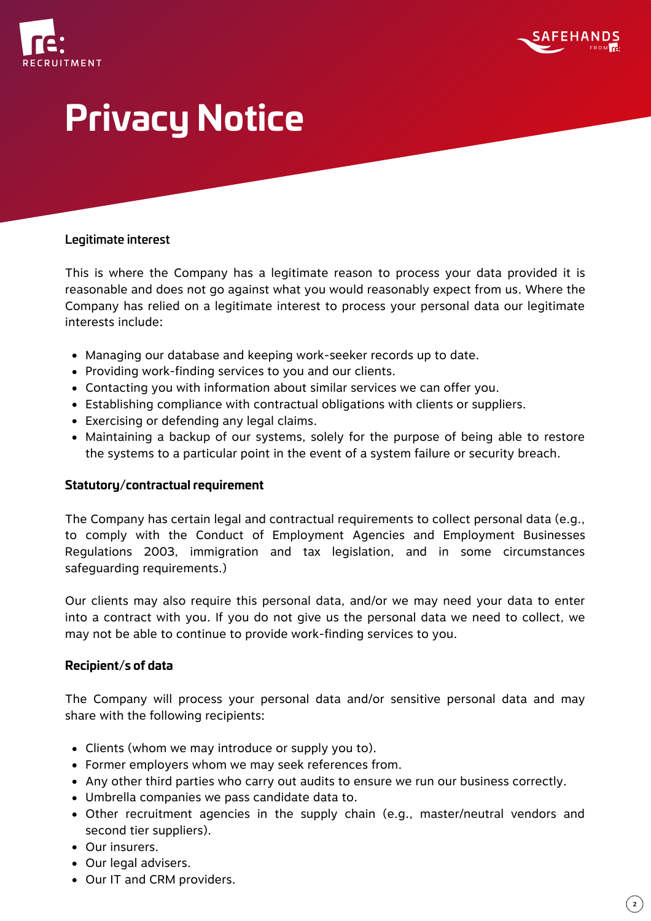



#### Legitimate interest

This is where the Company has a legitimate reason to process your data provided it is reasonable and does not go against what you would reasonably expect from us. Where the Company has relied on a legitimate interest to process your personal data our legitimate interests include:

- Managing our database and keeping work-seeker records up to date.
- Providing work-finding services to you and our clients.
- Contacting you with information about similar services we can offer you.
- Establishing compliance with contractual obligations with clients or suppliers.
- Exercising or defending any legal claims.
- Maintaining a backup of our systems, solely for the purpose of being able to restore the systems to a particular point in the event of a system failure or security breach.

#### **Statutory/contractual requirement**

The Company has certain legal and contractual requirements to collect personal data (e.g., to comply with the Conduct of Employment Agencies and Employment Businesses Regulations 2003, immigration and tax legislation, and in some circumstances safeguarding requirements.)

Our clients may also require this personal data, and/or we may need your data to enter into a contract with you. If you do not give us the personal data we need to collect, we may not be able to continue to provide work-finding services to you.

#### **Recipient/s of data**

The Company will process your personal data and/or sensitive personal data and may share with the following recipients:

- Clients (whom we may introduce or supply you to).
- Former employers whom we may seek references from.
- Any other third parties who carry out audits to ensure we run our business correctly.
- Umbrella companies we pass candidate data to.
- Other recruitment agencies in the supply chain (e.g., master/neutral vendors and second tier suppliers).
- Our insurers.
- Our legal advisers.
- Our IT and CRM providers.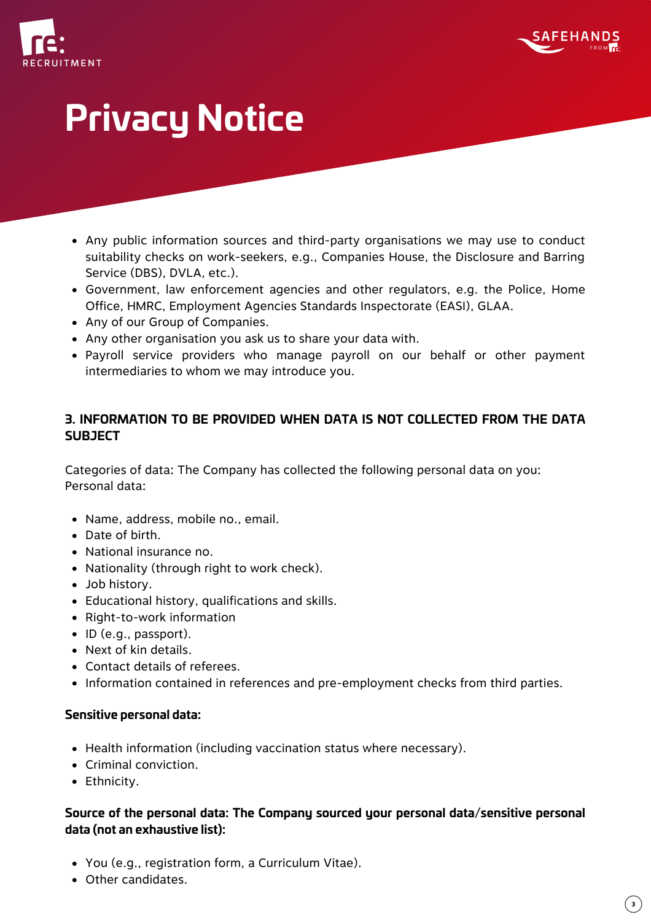



- Any public information sources and third-party organisations we may use to conduct suitability checks on work-seekers, e.g., Companies House, the Disclosure and Barring Service (DBS), DVLA, etc.).
- Government, law enforcement agencies and other regulators, e.g. the Police, Home Office, HMRC, Employment Agencies Standards Inspectorate (EASI), GLAA.
- Any of our Group of Companies.
- Any other organisation you ask us to share your data with.
- Payroll service providers who manage payroll on our behalf or other payment intermediaries to whom we may introduce you.

# **3. INFORMATION TO BE PROVIDED WHEN DATA IS NOT COLLECTED FROM THE DATA SUBJECT**

Categories of data: The Company has collected the following personal data on you: Personal data:

- Name, address, mobile no., email.
- Date of birth.
- National insurance no.
- Nationality (through right to work check).
- Job history.
- Educational history, qualifications and skills.
- Right-to-work information
- $\bullet$  ID (e.g., passport).
- Next of kin details.
- Contact details of referees.
- Information contained in references and pre-employment checks from third parties.

### **Sensitive personal data:**

- Health information (including vaccination status where necessary).
- Criminal conviction.
- Ethnicity.

## **Source of the personal data: The Company sourced your personal data/sensitive personal data (not an exhaustive list):**

- You (e.g., registration form, a Curriculum Vitae).
- Other candidates.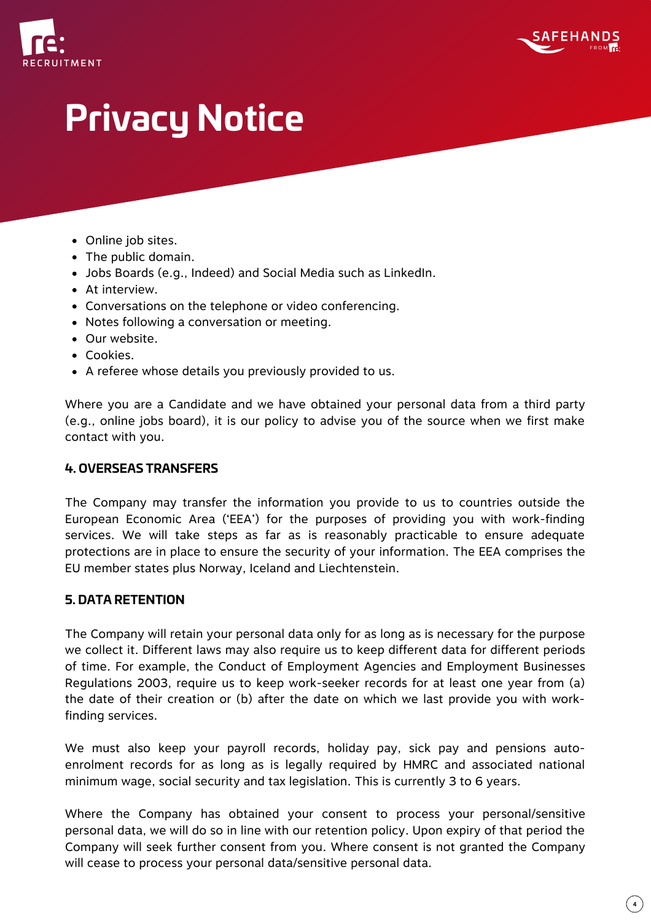



- Online job sites.
- The public domain.
- Jobs Boards (e.g., Indeed) and Social Media such as LinkedIn.
- At interview.
- Conversations on the telephone or video conferencing.
- Notes following a conversation or meeting.
- Our website.
- Cookies.
- A referee whose details you previously provided to us.

Where you are a Candidate and we have obtained your personal data from a third party (e.g., online jobs board), it is our policy to advise you of the source when we first make contact with you.

#### **4. OVERSEAS TRANSFERS**

The Company may transfer the information you provide to us to countries outside the European Economic Area ('EEA') for the purposes of providing you with work-finding services. We will take steps as far as is reasonably practicable to ensure adequate protections are in place to ensure the security of your information. The EEA comprises the EU member states plus Norway, Iceland and Liechtenstein.

#### **5. DATA RETENTION**

The Company will retain your personal data only for as long as is necessary for the purpose we collect it. Different laws may also require us to keep different data for different periods of time. For example, the Conduct of Employment Agencies and Employment Businesses Regulations 2003, require us to keep work-seeker records for at least one year from (a) the date of their creation or (b) after the date on which we last provide you with workfinding services.

We must also keep your payroll records, holiday pay, sick pay and pensions autoenrolment records for as long as is legally required by HMRC and associated national minimum wage, social security and tax legislation. This is currently 3 to 6 years.

Where the Company has obtained your consent to process your personal/sensitive personal data, we will do so in line with our retention policy. Upon expiry of that period the Company will seek further consent from you. Where consent is not granted the Company will cease to process your personal data/sensitive personal data.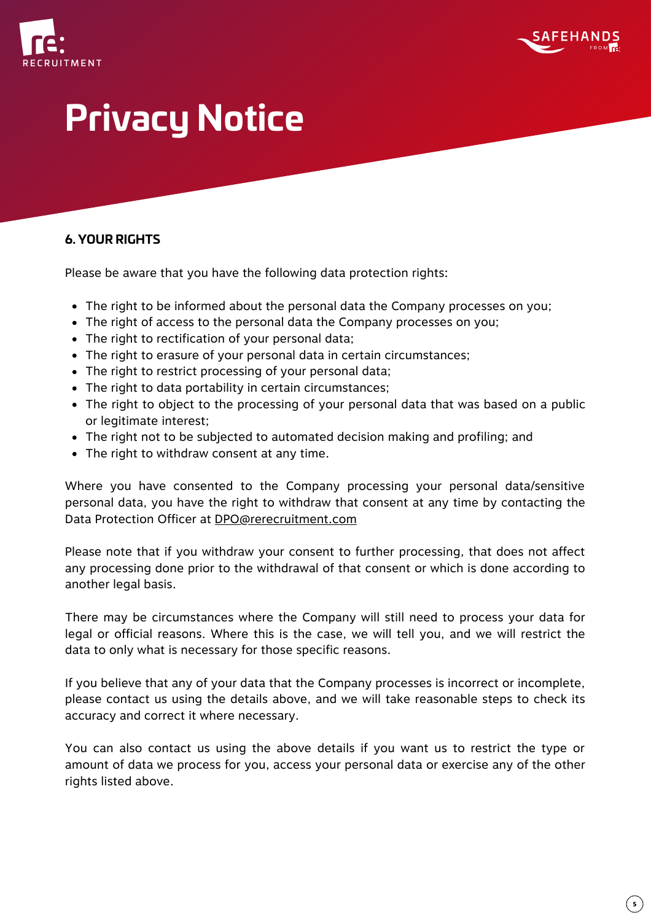



## **6. YOUR RIGHTS**

Please be aware that you have the following data protection rights:

- The right to be informed about the personal data the Company processes on you;
- The right of access to the personal data the Company processes on you;
- The right to rectification of your personal data;
- The right to erasure of your personal data in certain circumstances;
- The right to restrict processing of your personal data;
- The right to data portability in certain circumstances;
- The right to object to the processing of your personal data that was based on a public or legitimate interest;
- The right not to be subjected to automated decision making and profiling; and
- The right to withdraw consent at any time.

Where you have consented to the Company processing your personal data/sensitive personal data, you have the right to withdraw that consent at any time by contacting the Data Protection Officer at [DPO@rerecruitment.com](mailto:DPO@rerecruitment.com)

Please note that if you withdraw your consent to further processing, that does not affect any processing done prior to the withdrawal of that consent or which is done according to another legal basis.

There may be circumstances where the Company will still need to process your data for legal or official reasons. Where this is the case, we will tell you, and we will restrict the data to only what is necessary for those specific reasons.

If you believe that any of your data that the Company processes is incorrect or incomplete, please contact us using the details above, and we will take reasonable steps to check its accuracy and correct it where necessary.

You can also contact us using the above details if you want us to restrict the type or amount of data we process for you, access your personal data or exercise any of the other rights listed above.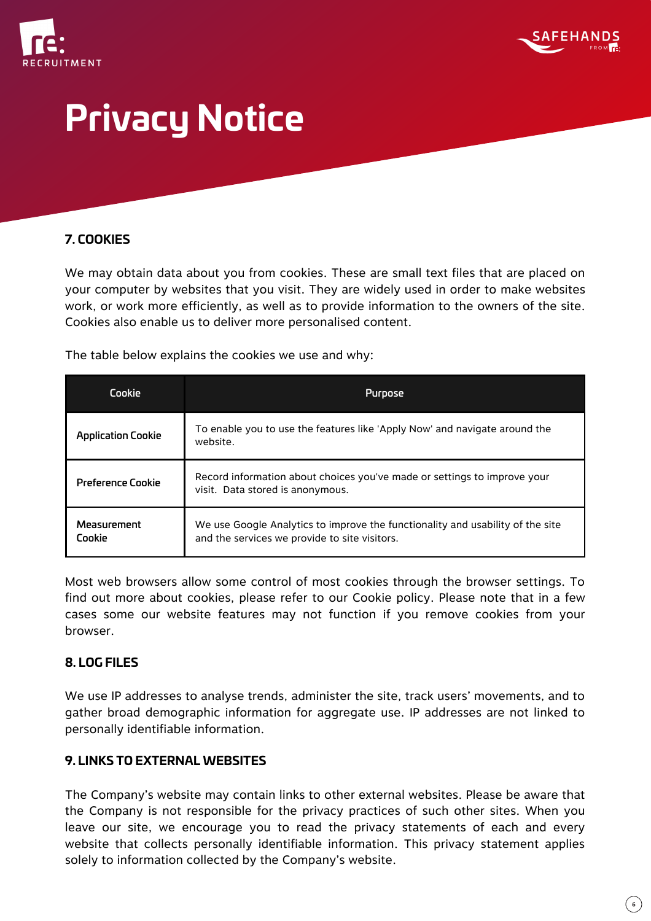



## **7. COOKIES**

We may obtain data about you from cookies. These are small text files that are placed on your computer by websites that you visit. They are widely used in order to make websites work, or work more efficiently, as well as to provide information to the owners of the site. Cookies also enable us to deliver more personalised content.

The table below explains the cookies we use and why:

| Cookie                    | Purpose                                                                                                                         |
|---------------------------|---------------------------------------------------------------------------------------------------------------------------------|
| <b>Application Cookie</b> | To enable you to use the features like 'Apply Now' and navigate around the<br>website.                                          |
| <b>Preference Cookie</b>  | Record information about choices you've made or settings to improve your<br>visit. Data stored is anonymous.                    |
| Measurement<br>Cookie     | We use Google Analytics to improve the functionality and usability of the site<br>and the services we provide to site visitors. |

Most web browsers allow some control of most cookies through the browser settings. To find out more about cookies, please refer to our Cookie policy. Please note that in a few cases some our website features may not function if you remove cookies from your browser.

### **8. LOG FILES**

We use IP addresses to analyse trends, administer the site, track users' movements, and to gather broad demographic information for aggregate use. IP addresses are not linked to personally identifiable information.

## **9. LINKS TO EXTERNAL WEBSITES**

The Company's website may contain links to other external websites. Please be aware that the Company is not responsible for the privacy practices of such other sites. When you leave our site, we encourage you to read the privacy statements of each and every website that collects personally identifiable information. This privacy statement applies solely to information collected by the Company's website.